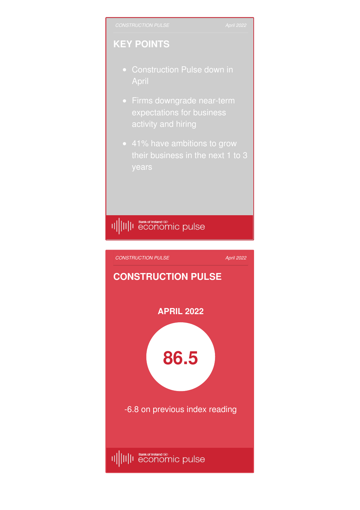## **KEY POINTS**

- April
- **•** Firms downgrade near-term expectations for business activity and hiring
- 41% have ambitions to grow

## II||II||I Bankof Ireland®<br>|I|||II||I economic pulse

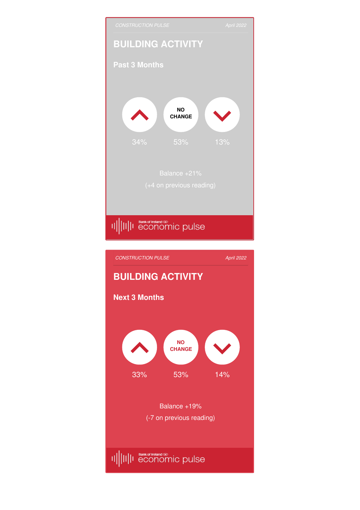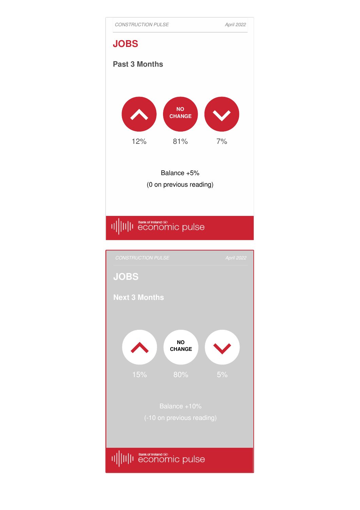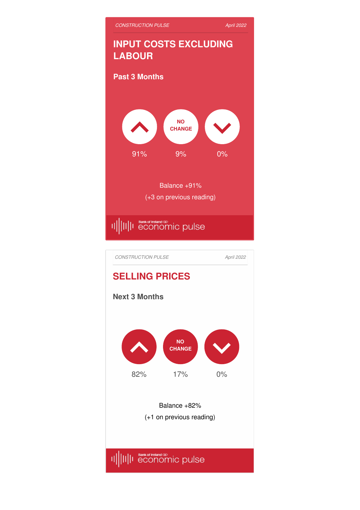